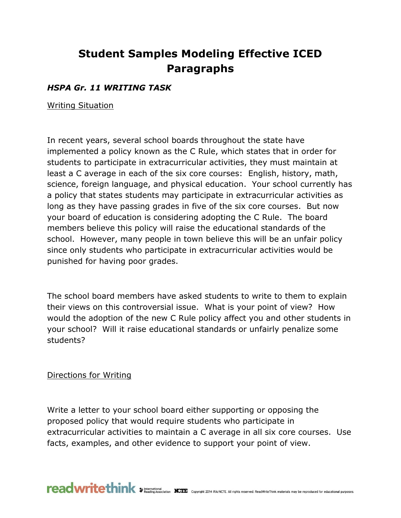# **Student Samples Modeling Effective ICED Paragraphs**

### *HSPA Gr. 11 WRITING TASK*

Writing Situation

In recent years, several school boards throughout the state have implemented a policy known as the C Rule, which states that in order for students to participate in extracurricular activities, they must maintain at least a C average in each of the six core courses: English, history, math, science, foreign language, and physical education. Your school currently has a policy that states students may participate in extracurricular activities as long as they have passing grades in five of the six core courses. But now your board of education is considering adopting the C Rule. The board members believe this policy will raise the educational standards of the school. However, many people in town believe this will be an unfair policy since only students who participate in extracurricular activities would be punished for having poor grades.

The school board members have asked students to write to them to explain their views on this controversial issue. What is your point of view? How would the adoption of the new C Rule policy affect you and other students in your school? Will it raise educational standards or unfairly penalize some students?

#### Directions for Writing

Write a letter to your school board either supporting or opposing the proposed policy that would require students who participate in extracurricular activities to maintain a C average in all six core courses. Use facts, examples, and other evidence to support your point of view.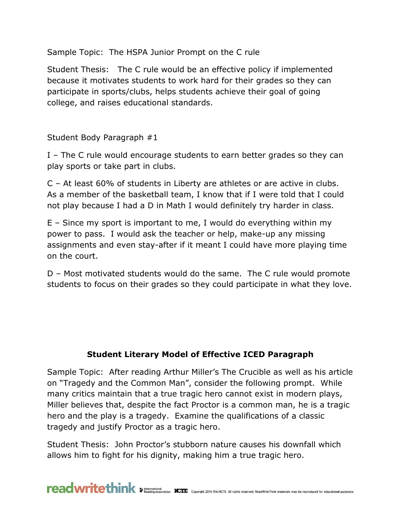Sample Topic: The HSPA Junior Prompt on the C rule

Student Thesis: The C rule would be an effective policy if implemented because it motivates students to work hard for their grades so they can participate in sports/clubs, helps students achieve their goal of going college, and raises educational standards.

Student Body Paragraph #1

I – The C rule would encourage students to earn better grades so they can play sports or take part in clubs.

C – At least 60% of students in Liberty are athletes or are active in clubs. As a member of the basketball team, I know that if I were told that I could not play because I had a D in Math I would definitely try harder in class.

E – Since my sport is important to me, I would do everything within my power to pass. I would ask the teacher or help, make-up any missing assignments and even stay-after if it meant I could have more playing time on the court.

D – Most motivated students would do the same. The C rule would promote students to focus on their grades so they could participate in what they love.

#### **Student Literary Model of Effective ICED Paragraph**

Sample Topic: After reading Arthur Miller's The Crucible as well as his article on "Tragedy and the Common Man", consider the following prompt. While many critics maintain that a true tragic hero cannot exist in modern plays, Miller believes that, despite the fact Proctor is a common man, he is a tragic hero and the play is a tragedy. Examine the qualifications of a classic tragedy and justify Proctor as a tragic hero.

Student Thesis: John Proctor's stubborn nature causes his downfall which allows him to fight for his dignity, making him a true tragic hero.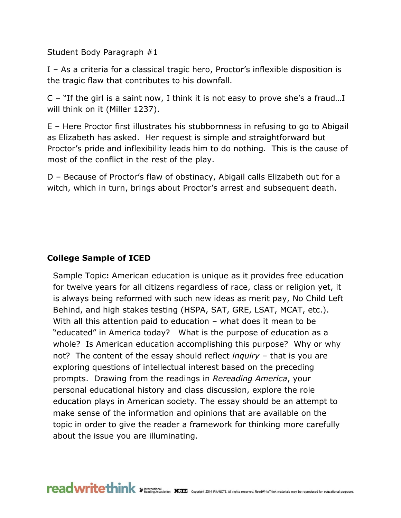Student Body Paragraph #1

I – As a criteria for a classical tragic hero, Proctor's inflexible disposition is the tragic flaw that contributes to his downfall.

C – "If the girl is a saint now, I think it is not easy to prove she's a fraud…I will think on it (Miller 1237).

E – Here Proctor first illustrates his stubbornness in refusing to go to Abigail as Elizabeth has asked. Her request is simple and straightforward but Proctor's pride and inflexibility leads him to do nothing. This is the cause of most of the conflict in the rest of the play.

D – Because of Proctor's flaw of obstinacy, Abigail calls Elizabeth out for a witch, which in turn, brings about Proctor's arrest and subsequent death.

## **College Sample of ICED**

Sample Topic**:** American education is unique as it provides free education for twelve years for all citizens regardless of race, class or religion yet, it is always being reformed with such new ideas as merit pay, No Child Left Behind, and high stakes testing (HSPA, SAT, GRE, LSAT, MCAT, etc.). With all this attention paid to education – what does it mean to be "educated" in America today? What is the purpose of education as a whole? Is American education accomplishing this purpose? Why or why not? The content of the essay should reflect *inquiry* – that is you are exploring questions of intellectual interest based on the preceding prompts. Drawing from the readings in *Rereading America*, your personal educational history and class discussion, explore the role education plays in American society. The essay should be an attempt to make sense of the information and opinions that are available on the topic in order to give the reader a framework for thinking more carefully about the issue you are illuminating.